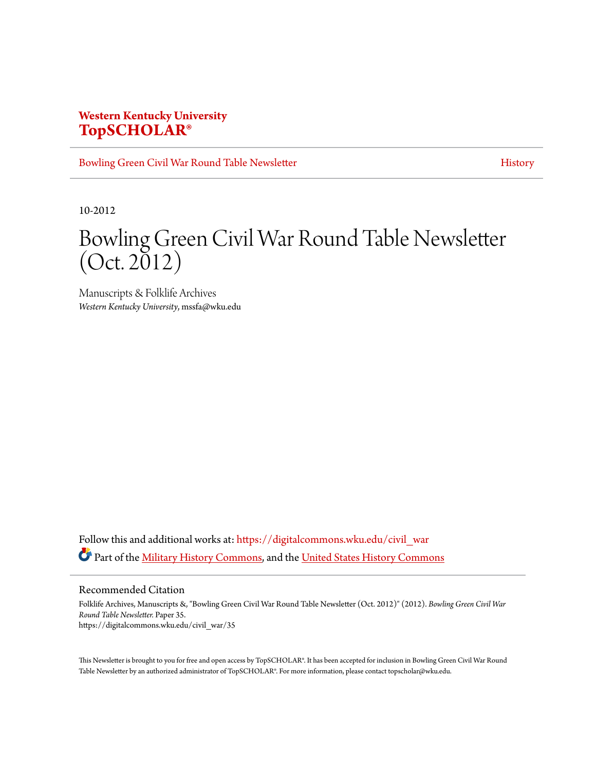## **Western Kentucky University [TopSCHOLAR®](https://digitalcommons.wku.edu?utm_source=digitalcommons.wku.edu%2Fcivil_war%2F35&utm_medium=PDF&utm_campaign=PDFCoverPages)**

[Bowling Green Civil War Round Table Newsletter](https://digitalcommons.wku.edu/civil_war?utm_source=digitalcommons.wku.edu%2Fcivil_war%2F35&utm_medium=PDF&utm_campaign=PDFCoverPages) **[History](https://digitalcommons.wku.edu/history?utm_source=digitalcommons.wku.edu%2Fcivil_war%2F35&utm_medium=PDF&utm_campaign=PDFCoverPages)** History

10-2012

# Bowling Green Civil War Round Table Newsletter  $(Oct. 2012)$

Manuscripts & Folklife Archives *Western Kentucky University*, mssfa@wku.edu

Follow this and additional works at: [https://digitalcommons.wku.edu/civil\\_war](https://digitalcommons.wku.edu/civil_war?utm_source=digitalcommons.wku.edu%2Fcivil_war%2F35&utm_medium=PDF&utm_campaign=PDFCoverPages) Part of the [Military History Commons](http://network.bepress.com/hgg/discipline/504?utm_source=digitalcommons.wku.edu%2Fcivil_war%2F35&utm_medium=PDF&utm_campaign=PDFCoverPages), and the [United States History Commons](http://network.bepress.com/hgg/discipline/495?utm_source=digitalcommons.wku.edu%2Fcivil_war%2F35&utm_medium=PDF&utm_campaign=PDFCoverPages)

Recommended Citation

Folklife Archives, Manuscripts &, "Bowling Green Civil War Round Table Newsletter (Oct. 2012)" (2012). *Bowling Green Civil War Round Table Newsletter.* Paper 35. https://digitalcommons.wku.edu/civil\_war/35

This Newsletter is brought to you for free and open access by TopSCHOLAR®. It has been accepted for inclusion in Bowling Green Civil War Round Table Newsletter by an authorized administrator of TopSCHOLAR®. For more information, please contact topscholar@wku.edu.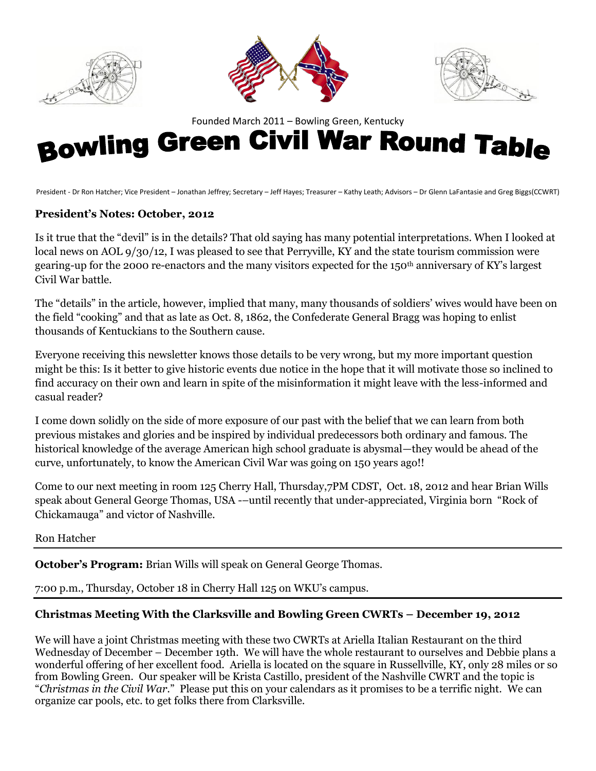





# Founded March 2011–Bowling Green, Kentucky **Bowling Green, Kentucky**

President - Dr Ron Hatcher; Vice President – Jonathan Jeffrey; Secretary – Jeff Hayes; Treasurer – Kathy Leath; Advisors – Dr Glenn LaFantasie and Greg Biggs(CCWRT)

#### **President's Notes: October, 2012**

Is it true that the "devil" is in the details? That old saying has many potential interpretations. When I looked at local news on AOL 9/30/12, I was pleased to see that Perryville, KY and the state tourism commission were gearing-up for the 2000 re-enactors and the many visitors expected for the 150th anniversary of KY's largest Civil War battle.

The "details" in the article, however, implied that many, many thousands of soldiers' wives would have been on the field "cooking" and that as late as Oct. 8, 1862, the Confederate General Bragg was hoping to enlist thousands of Kentuckians to the Southern cause.

Everyone receiving this newsletter knows those details to be very wrong, but my more important question might be this: Is it better to give historic events due notice in the hope that it will motivate those so inclined to find accuracy on their own and learn in spite of the misinformation it might leave with the less-informed and casual reader?

I come down solidly on the side of more exposure of our past with the belief that we can learn from both previous mistakes and glories and be inspired by individual predecessors both ordinary and famous. The historical knowledge of the average American high school graduate is abysmal—they would be ahead of the curve, unfortunately, to know the American Civil War was going on 150 years ago!!

Come to our next meeting in room 125 Cherry Hall, Thursday,7PM CDST, Oct. 18, 2012 and hear Brian Wills speak about General George Thomas, USA -–until recently that under-appreciated, Virginia born "Rock of Chickamauga" and victor of Nashville.

Ron Hatcher

**October's Program:** Brian Wills will speak on General George Thomas.

7:00 p.m., Thursday, October 18 in Cherry Hall 125 on WKU's campus.

#### **Christmas Meeting With the Clarksville and Bowling Green CWRTs – December 19, 2012**

We will have a joint Christmas meeting with these two CWRTs at Ariella Italian Restaurant on the third Wednesday of December – December 19th. We will have the whole restaurant to ourselves and Debbie plans a wonderful offering of her excellent food. Ariella is located on the square in Russellville, KY, only 28 miles or so from Bowling Green. Our speaker will be Krista Castillo, president of the Nashville CWRT and the topic is "*Christmas in the Civil War*." Please put this on your calendars as it promises to be a terrific night. We can organize car pools, etc. to get folks there from Clarksville.